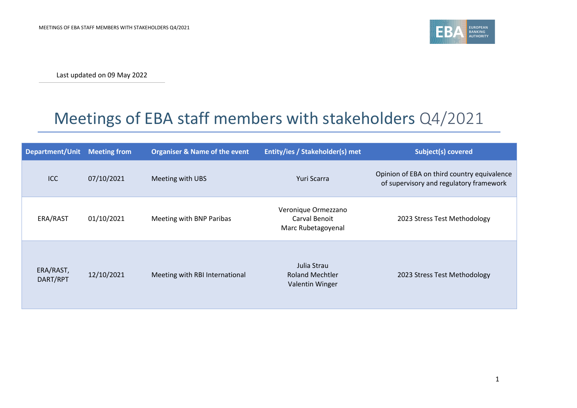

Last updated on 09 May 2022

## Meetings of EBA staff members with stakeholders Q4/2021

| Department/Unit       | <b>Meeting from</b> | <b>Organiser &amp; Name of the event</b> | Entity/ies / Stakeholder(s) met                            | <b>Subject(s) covered</b>                                                              |
|-----------------------|---------------------|------------------------------------------|------------------------------------------------------------|----------------------------------------------------------------------------------------|
| ICC                   | 07/10/2021          | Meeting with UBS                         | Yuri Scarra                                                | Opinion of EBA on third country equivalence<br>of supervisory and regulatory framework |
| ERA/RAST              | 01/10/2021          | Meeting with BNP Paribas                 | Veronique Ormezzano<br>Carval Benoit<br>Marc Rubetagoyenal | 2023 Stress Test Methodology                                                           |
| ERA/RAST,<br>DART/RPT | 12/10/2021          | Meeting with RBI International           | Julia Strau<br><b>Roland Mechtler</b><br>Valentin Winger   | 2023 Stress Test Methodology                                                           |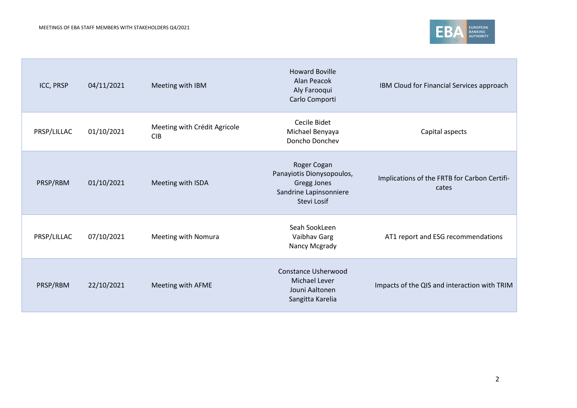

| ICC, PRSP   | 04/11/2021 | Meeting with IBM                           | <b>Howard Boville</b><br>Alan Peacok<br>Aly Farooqui<br>Carlo Comporti                           | IBM Cloud for Financial Services approach             |
|-------------|------------|--------------------------------------------|--------------------------------------------------------------------------------------------------|-------------------------------------------------------|
| PRSP/LILLAC | 01/10/2021 | Meeting with Crédit Agricole<br><b>CIB</b> | Cecile Bidet<br>Michael Benyaya<br>Doncho Donchev                                                | Capital aspects                                       |
| PRSP/RBM    | 01/10/2021 | Meeting with ISDA                          | Roger Cogan<br>Panayiotis Dionysopoulos,<br>Gregg Jones<br>Sandrine Lapinsonniere<br>Stevi Losif | Implications of the FRTB for Carbon Certifi-<br>cates |
| PRSP/LILLAC | 07/10/2021 | Meeting with Nomura                        | Seah SookLeen<br>Vaibhav Garg<br>Nancy Mcgrady                                                   | AT1 report and ESG recommendations                    |
| PRSP/RBM    | 22/10/2021 | Meeting with AFME                          | <b>Constance Usherwood</b><br>Michael Lever<br>Jouni Aaltonen<br>Sangitta Karelia                | Impacts of the QIS and interaction with TRIM          |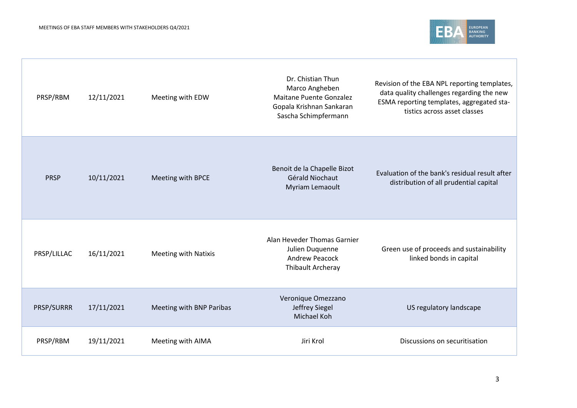

| PRSP/RBM    | 12/11/2021 | Meeting with EDW            | Dr. Chistian Thun<br>Marco Angheben<br><b>Maitane Puente Gonzalez</b><br>Gopala Krishnan Sankaran<br>Sascha Schimpfermann | Revision of the EBA NPL reporting templates,<br>data quality challenges regarding the new<br>ESMA reporting templates, aggregated sta-<br>tistics across asset classes |
|-------------|------------|-----------------------------|---------------------------------------------------------------------------------------------------------------------------|------------------------------------------------------------------------------------------------------------------------------------------------------------------------|
| <b>PRSP</b> | 10/11/2021 | Meeting with BPCE           | Benoit de la Chapelle Bizot<br>Gérald Niochaut<br>Myriam Lemaoult                                                         | Evaluation of the bank's residual result after<br>distribution of all prudential capital                                                                               |
| PRSP/LILLAC | 16/11/2021 | <b>Meeting with Natixis</b> | Alan Heveder Thomas Garnier<br>Julien Duquenne<br><b>Andrew Peacock</b><br>Thibault Archeray                              | Green use of proceeds and sustainability<br>linked bonds in capital                                                                                                    |
| PRSP/SURRR  | 17/11/2021 | Meeting with BNP Paribas    | Veronique Omezzano<br>Jeffrey Siegel<br>Michael Koh                                                                       | US regulatory landscape                                                                                                                                                |
| PRSP/RBM    | 19/11/2021 | Meeting with AIMA           | Jiri Krol                                                                                                                 | Discussions on securitisation                                                                                                                                          |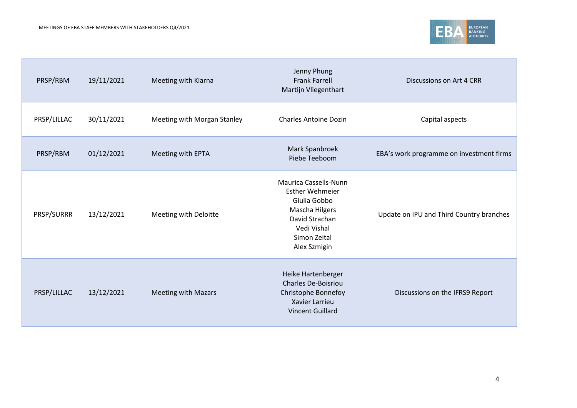

| PRSP/RBM    | 19/11/2021 | Meeting with Klarna         | Jenny Phung<br><b>Frank Farrell</b><br>Martijn Vliegenthart                                                                                               | Discussions on Art 4 CRR                 |
|-------------|------------|-----------------------------|-----------------------------------------------------------------------------------------------------------------------------------------------------------|------------------------------------------|
| PRSP/LILLAC | 30/11/2021 | Meeting with Morgan Stanley | <b>Charles Antoine Dozin</b>                                                                                                                              | Capital aspects                          |
| PRSP/RBM    | 01/12/2021 | Meeting with EPTA           | Mark Spanbroek<br>Piebe Teeboom                                                                                                                           | EBA's work programme on investment firms |
| PRSP/SURRR  | 13/12/2021 | Meeting with Deloitte       | <b>Maurica Cassells-Nunn</b><br><b>Esther Wehmeier</b><br>Giulia Gobbo<br>Mascha Hilgers<br>David Strachan<br>Vedi Vishal<br>Simon Zeital<br>Alex Szmigin | Update on IPU and Third Country branches |
| PRSP/LILLAC | 13/12/2021 | <b>Meeting with Mazars</b>  | Heike Hartenberger<br><b>Charles De-Boisriou</b><br>Christophe Bonnefoy<br>Xavier Larrieu<br><b>Vincent Guillard</b>                                      | Discussions on the IFRS9 Report          |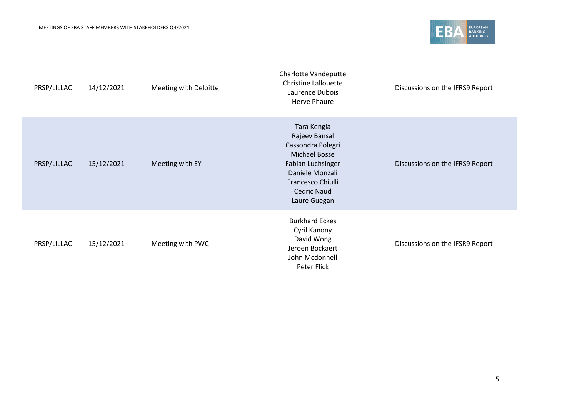

| PRSP/LILLAC | 14/12/2021 | Meeting with Deloitte | Charlotte Vandeputte<br><b>Christine Lallouette</b><br>Laurence Dubois<br><b>Herve Phaure</b>                                                                                | Discussions on the IFRS9 Report |
|-------------|------------|-----------------------|------------------------------------------------------------------------------------------------------------------------------------------------------------------------------|---------------------------------|
| PRSP/LILLAC | 15/12/2021 | Meeting with EY       | Tara Kengla<br>Rajeev Bansal<br>Cassondra Polegri<br><b>Michael Bosse</b><br>Fabian Luchsinger<br>Daniele Monzali<br>Francesco Chiulli<br><b>Cedric Naud</b><br>Laure Guegan | Discussions on the IFRS9 Report |
| PRSP/LILLAC | 15/12/2021 | Meeting with PWC      | <b>Burkhard Eckes</b><br>Cyril Kanony<br>David Wong<br>Jeroen Bockaert<br>John Mcdonnell<br>Peter Flick                                                                      | Discussions on the IFSR9 Report |